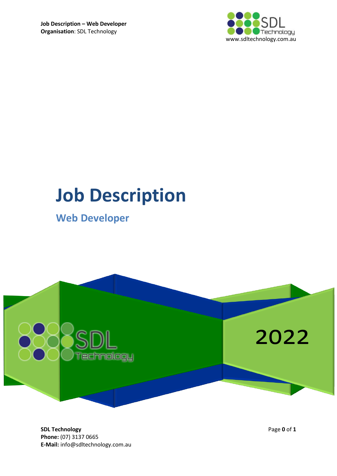

# **Job Description**

# **Web Developer**



**SDL Technology** Page **0** of **1 Phone:** (07) 3137 0665 **E-Mail:** info@sdltechnology.com.au